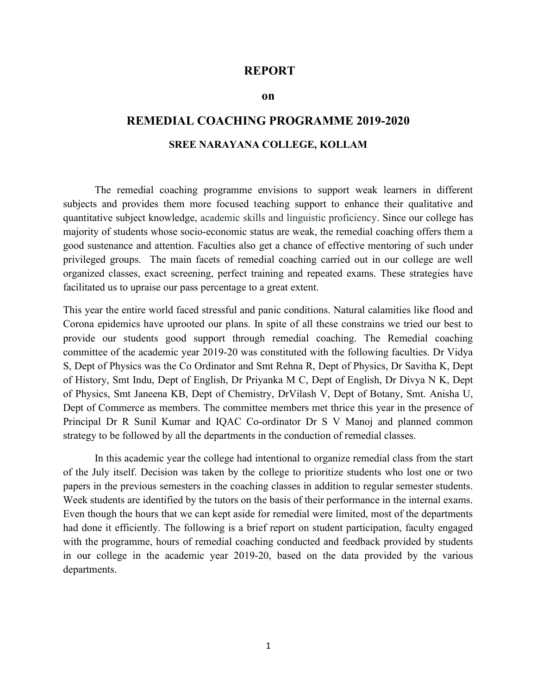#### REPORT

#### on

# REMEDIAL COACHING PROGRAMME 2019-2020 SREE NARAYANA COLLEGE, KOLLAM

The remedial coaching programme envisions to support weak learners in different subjects and provides them more focused teaching support to enhance their qualitative and quantitative subject knowledge, academic skills and linguistic proficiency. Since our college has majority of students whose socio-economic status are weak, the remedial coaching offers them a good sustenance and attention. Faculties also get a chance of effective mentoring of such under privileged groups. The main facets of remedial coaching carried out in our college are well organized classes, exact screening, perfect training and repeated exams. These strategies have facilitated us to upraise our pass percentage to a great extent.

This year the entire world faced stressful and panic conditions. Natural calamities like flood and Corona epidemics have uprooted our plans. In spite of all these constrains we tried our best to provide our students good support through remedial coaching. The Remedial coaching committee of the academic year 2019-20 was constituted with the following faculties. Dr Vidya S, Dept of Physics was the Co Ordinator and Smt Rehna R, Dept of Physics, Dr Savitha K, Dept of History, Smt Indu, Dept of English, Dr Priyanka M C, Dept of English, Dr Divya N K, Dept of Physics, Smt Janeena KB, Dept of Chemistry, DrVilash V, Dept of Botany, Smt. Anisha U, Dept of Commerce as members. The committee members met thrice this year in the presence of Principal Dr R Sunil Kumar and IQAC Co-ordinator Dr S V Manoj and planned common strategy to be followed by all the departments in the conduction of remedial classes.

In this academic year the college had intentional to organize remedial class from the start of the July itself. Decision was taken by the college to prioritize students who lost one or two papers in the previous semesters in the coaching classes in addition to regular semester students. Week students are identified by the tutors on the basis of their performance in the internal exams. Even though the hours that we can kept aside for remedial were limited, most of the departments had done it efficiently. The following is a brief report on student participation, faculty engaged with the programme, hours of remedial coaching conducted and feedback provided by students in our college in the academic year 2019-20, based on the data provided by the various departments.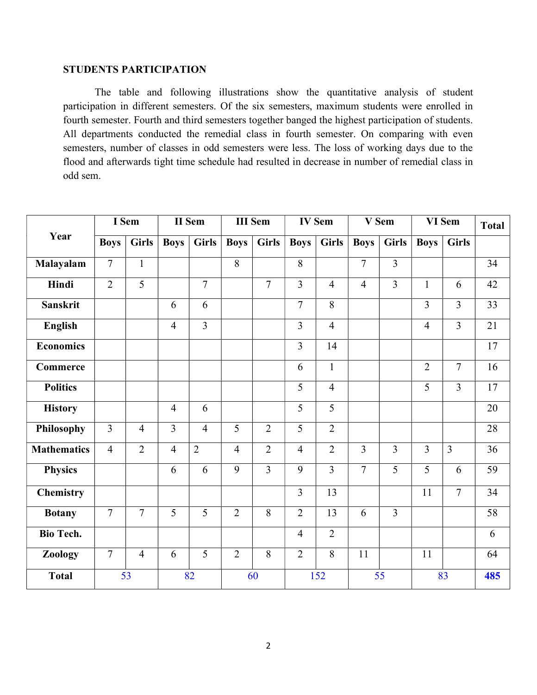### STUDENTS PARTICIPATION

The table and following illustrations show the quantitative analysis of student participation in different semesters. Of the six semesters, maximum students were enrolled in fourth semester. Fourth and third semesters together banged the highest participation of students. All departments conducted the remedial class in fourth semester. On comparing with even semesters, number of classes in odd semesters were less. The loss of working days due to the flood and afterwards tight time schedule had resulted in decrease in number of remedial class in odd sem.

| Year               | I Sem          |                | II Sem         |                | <b>III</b> Sem |                | <b>IV Sem</b>  |                | V Sem          |                | VI Sem         |                         | <b>Total</b>    |
|--------------------|----------------|----------------|----------------|----------------|----------------|----------------|----------------|----------------|----------------|----------------|----------------|-------------------------|-----------------|
|                    | <b>Boys</b>    | <b>Girls</b>   | <b>Boys</b>    | <b>Girls</b>   | <b>Boys</b>    | <b>Girls</b>   | <b>Boys</b>    | <b>Girls</b>   | <b>Boys</b>    | <b>Girls</b>   | <b>Boys</b>    | <b>Girls</b>            |                 |
| Malayalam          | $\overline{7}$ | $\mathbf{1}$   |                |                | 8              |                | 8              |                | $\overline{7}$ | $\overline{3}$ |                |                         | 34              |
| Hindi              | $\overline{2}$ | 5              |                | $\overline{7}$ |                | $\overline{7}$ | 3              | $\overline{4}$ | $\overline{4}$ | $\overline{3}$ | $\mathbf{1}$   | 6                       | 42              |
| <b>Sanskrit</b>    |                |                | 6              | 6              |                |                | $\overline{7}$ | $8\,$          |                |                | $\overline{3}$ | $\overline{3}$          | 33              |
| <b>English</b>     |                |                | $\overline{4}$ | $\overline{3}$ |                |                | 3              | $\overline{4}$ |                |                | $\overline{4}$ | $\overline{3}$          | 21              |
| <b>Economics</b>   |                |                |                |                |                |                | $\overline{3}$ | 14             |                |                |                |                         | 17              |
| Commerce           |                |                |                |                |                |                | 6              | $\mathbf{1}$   |                |                | $\overline{2}$ | $\overline{7}$          | 16              |
| <b>Politics</b>    |                |                |                |                |                |                | 5              | $\overline{4}$ |                |                | 5              | $\overline{3}$          | 17              |
| <b>History</b>     |                |                | $\overline{4}$ | 6              |                |                | 5              | 5              |                |                |                |                         | 20              |
| Philosophy         | $\overline{3}$ | $\overline{4}$ | $\overline{3}$ | $\overline{4}$ | $\overline{5}$ | $\overline{2}$ | 5              | $\overline{2}$ |                |                |                |                         | 28              |
| <b>Mathematics</b> | $\overline{4}$ | $\overline{2}$ | $\overline{4}$ | $\overline{2}$ | $\overline{4}$ | $\overline{2}$ | $\overline{4}$ | $\overline{2}$ | $\overline{3}$ | $\overline{3}$ | $\overline{3}$ | $\overline{\mathbf{3}}$ | $\overline{36}$ |
| <b>Physics</b>     |                |                | 6              | 6              | 9              | 3              | 9              | $\overline{3}$ | $\overline{7}$ | 5              | 5              | 6                       | 59              |
| <b>Chemistry</b>   |                |                |                |                |                |                | $\overline{3}$ | 13             |                |                | 11             | $\overline{7}$          | 34              |
| <b>Botany</b>      | $\overline{7}$ | $\overline{7}$ | 5              | 5              | $\overline{2}$ | 8              | $\overline{2}$ | 13             | 6              | $\overline{3}$ |                |                         | 58              |
| <b>Bio Tech.</b>   |                |                |                |                |                |                | $\overline{4}$ | $\overline{2}$ |                |                |                |                         | 6               |
| Zoology            | $\overline{7}$ | $\overline{4}$ | 6              | 5              | $\overline{2}$ | 8              | $\overline{2}$ | 8              | 11             |                | 11             |                         | 64              |
| <b>Total</b>       | 53             |                | 82             |                | 60             |                | 152            |                | 55             |                | 83             |                         | 485             |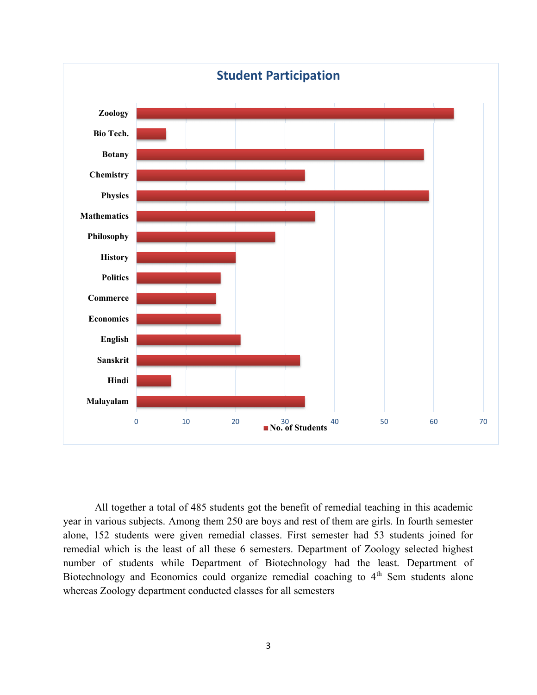

All together a total of 485 students got the benefit of remedial teaching in this academic year in various subjects. Among them 250 are boys and rest of them are girls. In fourth semester alone, 152 students were given remedial classes. First semester had 53 students joined for remedial which is the least of all these 6 semesters. Department of Zoology selected highest number of students while Department of Biotechnology had the least. Department of Biotechnology and Economics could organize remedial coaching to  $4<sup>th</sup>$  Sem students alone whereas Zoology department conducted classes for all semesters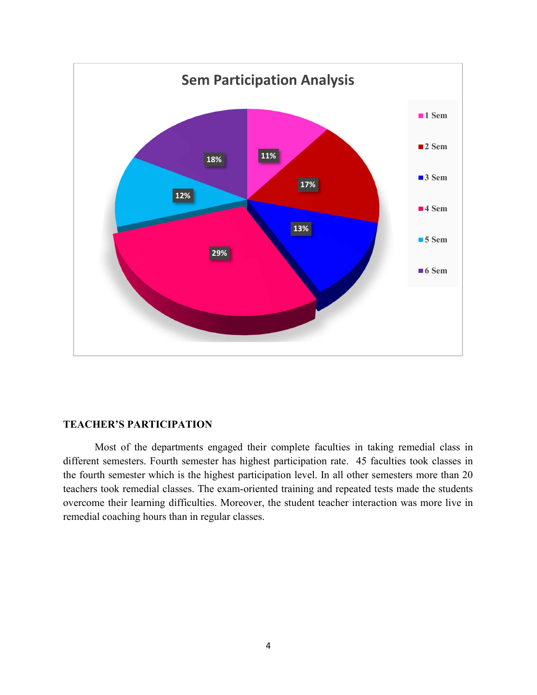

#### TEACHER'S PARTICIPATION

Most of the departments engaged their complete faculties in taking remedial class in different semesters. Fourth semester has highest participation rate. 45 faculties took classes in the fourth semester which is the highest participation level. In all other semesters more than 20 teachers took remedial classes. The exam-oriented training and repeated tests made the students overcome their learning difficulties. Moreover, the student teacher interaction was more live in remedial coaching hours than in regular classes.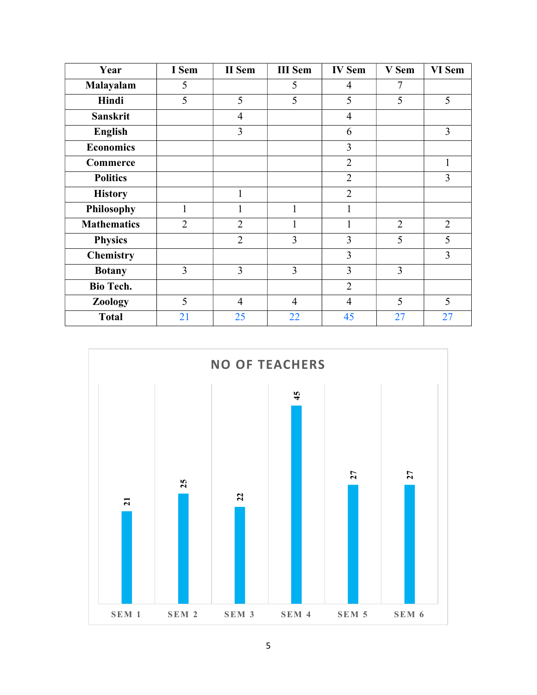| Year               | I Sem          | <b>II</b> Sem  | <b>III</b> Sem | <b>IV Sem</b>  | V Sem          | VI Sem         |
|--------------------|----------------|----------------|----------------|----------------|----------------|----------------|
| Malayalam          | 5              |                | 5              | $\overline{4}$ | 7              |                |
| Hindi              | 5              | 5              | 5              | 5              | 5              | 5              |
| <b>Sanskrit</b>    |                | $\overline{4}$ |                | $\overline{4}$ |                |                |
| <b>English</b>     |                | 3              |                | 6              |                | 3              |
| <b>Economics</b>   |                |                |                | 3              |                |                |
| Commerce           |                |                |                | $\overline{2}$ |                | $\mathbf{1}$   |
| <b>Politics</b>    |                |                |                | $\overline{2}$ |                | 3              |
| <b>History</b>     |                | 1              |                | $\overline{2}$ |                |                |
| <b>Philosophy</b>  | $\mathbf{1}$   | 1              | $\mathbf{1}$   | 1              |                |                |
| <b>Mathematics</b> | $\overline{2}$ | $\overline{2}$ | 1              | 1              | $\overline{2}$ | $\overline{2}$ |
| <b>Physics</b>     |                | $\overline{2}$ | 3              | 3              | 5              | 5              |
| <b>Chemistry</b>   |                |                |                | 3              |                | 3              |
| <b>Botany</b>      | 3              | 3              | $\overline{3}$ | 3              | 3              |                |
| <b>Bio Tech.</b>   |                |                |                | $\overline{2}$ |                |                |
| Zoology            | 5              | $\overline{4}$ | $\overline{4}$ | $\overline{4}$ | 5              | 5              |
| <b>Total</b>       | 21             | 25             | 22             | 45             | 27             | 27             |

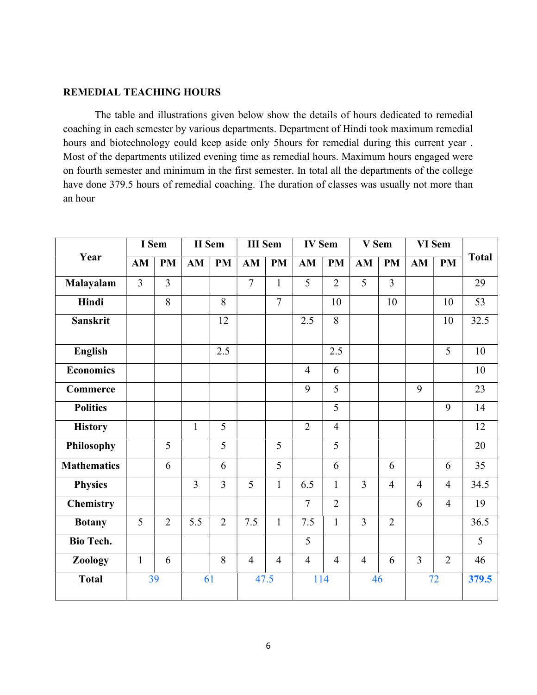#### REMEDIAL TEACHING HOURS

The table and illustrations given below show the details of hours dedicated to remedial coaching in each semester by various departments. Department of Hindi took maximum remedial hours and biotechnology could keep aside only 5hours for remedial during this current year . Most of the departments utilized evening time as remedial hours. Maximum hours engaged were on fourth semester and minimum in the first semester. In total all the departments of the college have done 379.5 hours of remedial coaching. The duration of classes was usually not more than an hour

| Year               | I Sem          |                | <b>II</b> Sem |                | <b>III</b> Sem |                | <b>IV Sem</b>  |                | V Sem          |                | VI Sem         |                |              |
|--------------------|----------------|----------------|---------------|----------------|----------------|----------------|----------------|----------------|----------------|----------------|----------------|----------------|--------------|
|                    | AM             | <b>PM</b>      | AM            | <b>PM</b>      | AM             | <b>PM</b>      | AM             | <b>PM</b>      | AM             | <b>PM</b>      | AM             | <b>PM</b>      | <b>Total</b> |
| Malayalam          | $\overline{3}$ | $\overline{3}$ |               |                | $\overline{7}$ | $\mathbf{1}$   | 5              | $\overline{2}$ | 5              | $\overline{3}$ |                |                | 29           |
| Hindi              |                | 8              |               | 8              |                | $\overline{7}$ |                | 10             |                | 10             |                | 10             | 53           |
| <b>Sanskrit</b>    |                |                |               | 12             |                |                | 2.5            | 8              |                |                |                | 10             | 32.5         |
| English            |                |                |               | 2.5            |                |                |                | 2.5            |                |                |                | 5              | 10           |
| <b>Economics</b>   |                |                |               |                |                |                | $\overline{4}$ | 6              |                |                |                |                | 10           |
| Commerce           |                |                |               |                |                |                | 9              | 5              |                |                | 9              |                | 23           |
| <b>Politics</b>    |                |                |               |                |                |                |                | 5              |                |                |                | 9              | 14           |
| <b>History</b>     |                |                | $\mathbf{1}$  | 5              |                |                | $\overline{2}$ | $\overline{4}$ |                |                |                |                | 12           |
| Philosophy         |                | 5              |               | 5              |                | 5              |                | 5              |                |                |                |                | 20           |
| <b>Mathematics</b> |                | 6              |               | 6              |                | $\overline{5}$ |                | 6              |                | 6              |                | 6              | 35           |
| <b>Physics</b>     |                |                | 3             | $\overline{3}$ | 5              | $\mathbf{1}$   | 6.5            | $\mathbf{1}$   | $\overline{3}$ | $\overline{4}$ | $\overline{4}$ | $\overline{4}$ | 34.5         |
| <b>Chemistry</b>   |                |                |               |                |                |                | $\overline{7}$ | $\overline{2}$ |                |                | 6              | $\overline{4}$ | 19           |
| <b>Botany</b>      | 5              | $\overline{2}$ | 5.5           | $\overline{2}$ | 7.5            | $\mathbf{1}$   | 7.5            | $\mathbf{1}$   | $\overline{3}$ | $\overline{2}$ |                |                | 36.5         |
| <b>Bio Tech.</b>   |                |                |               |                |                |                | 5              |                |                |                |                |                | 5            |
| Zoology            | $\mathbf{1}$   | 6              |               | 8              | $\overline{4}$ | $\overline{4}$ | $\overline{4}$ | $\overline{4}$ | $\overline{4}$ | 6              | $\overline{3}$ | $\overline{2}$ | 46           |
| <b>Total</b>       | 39             |                | 61            |                | 47.5           |                | 114            |                | 46             |                | 72             |                | 379.5        |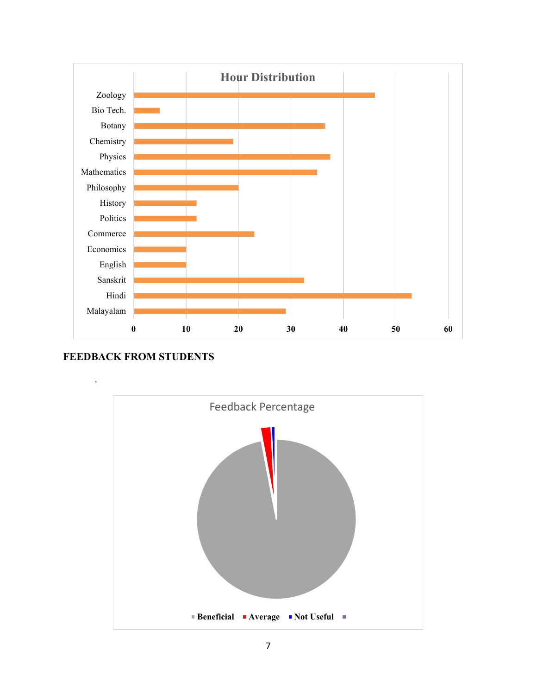

## FEEDBACK FROM STUDENTS